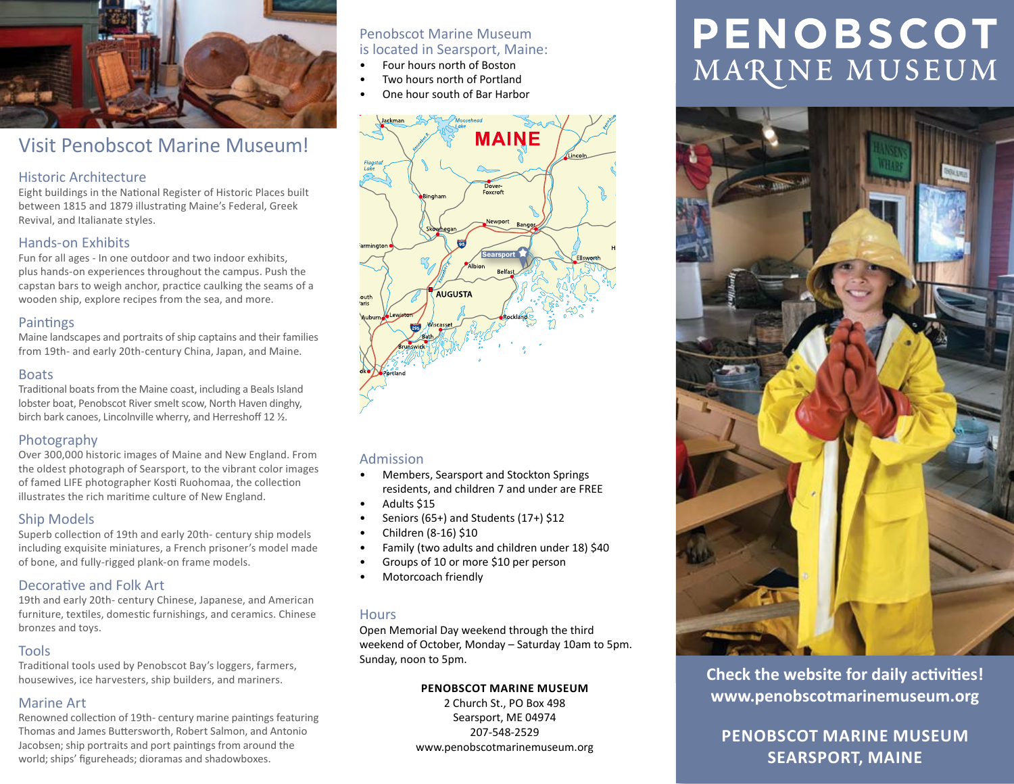

# Visit Penobscot Marine Museum!

# Historic Architecture

Eight buildings in the National Register of Historic Places built between 1815 and 1879 illustrating Maine's Federal, Greek Revival, and Italianate styles.

# Hands-on Exhibits

Fun for all ages - In one outdoor and two indoor exhibits, plus hands-on experiences throughout the campus. Push the capstan bars to weigh anchor, practice caulking the seams of a wooden ship, explore recipes from the sea, and more.

# **Paintings**

Maine landscapes and portraits of ship captains and their families from 19th- and early 20th-century China, Japan, and Maine.

# Boats

Traditional boats from the Maine coast, including a Beals Island lobster boat, Penobscot River smelt scow, North Haven dinghy, birch bark canoes, Lincolnville wherry, and Herreshoff 12 ½.

# Photography

Over 300,000 historic images of Maine and New England. From the oldest photograph of Searsport, to the vibrant color images of famed LIFE photographer Kosti Ruohomaa, the collection illustrates the rich maritime culture of New England.

# Ship Models

Superb collection of 19th and early 20th- century ship models including exquisite miniatures, a French prisoner's model made of bone, and fully-rigged plank-on frame models.

# Decorative and Folk Art

19th and early 20th- century Chinese, Japanese, and American furniture, textiles, domestic furnishings, and ceramics. Chinese bronzes and toys.

# Tools

Traditional tools used by Penobscot Bay's loggers, farmers, housewives, ice harvesters, ship builders, and mariners.

# Marine Art

Renowned collection of 19th- century marine paintings featuring Thomas and James Buttersworth, Robert Salmon, and Antonio Jacobsen; ship portraits and port paintings from around the world; ships' figureheads; dioramas and shadowboxes.

# Penobscot Marine Museum is located in Searsport, Maine:

- Four hours north of Boston
- Two hours north of Portland
- One hour south of Bar Harbor



# Admission

- Members, Searsport and Stockton Springs residents, and children 7 and under are FREE
- Adults \$15
- Seniors (65+) and Students (17+) \$12
- Children (8-16) \$10
- Family (two adults and children under 18) \$40
- Groups of 10 or more \$10 per person
- Motorcoach friendly

## **Hours**

Open Memorial Day weekend through the third weekend of October, Monday – Saturday 10am to 5pm. Sunday, noon to 5pm.

#### **PENOBSCOT MARINE MUSEUM**

2 Church St., PO Box 498 Searsport, ME 04974 207-548-2529 www.penobscotmarinemuseum.org

# **PENOBSCOT** MARINE MUSEUM



**Check the website for daily activities! www.penobscotmarinemuseum.org**

**PENOBSCOT MARINE MUSEUM SEARSPORT, MAINE**